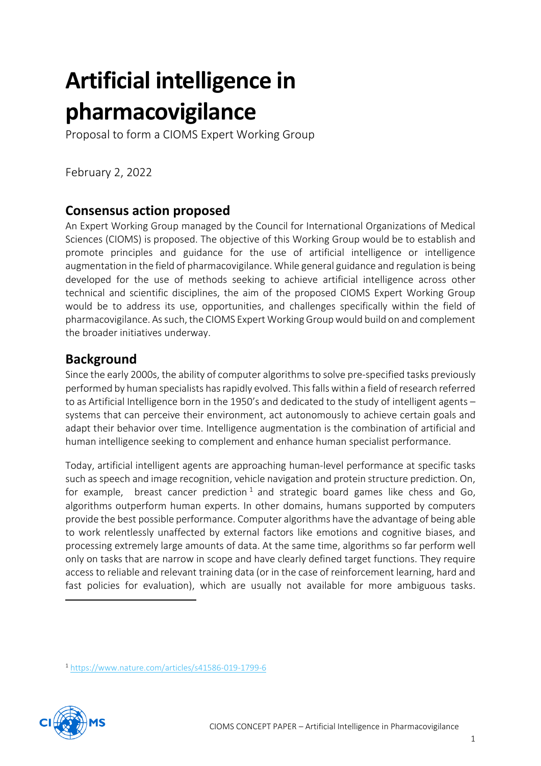# **Artificial intelligence in pharmacovigilance**

Proposal to form a CIOMS Expert Working Group

February 2, 2022

# **Consensus action proposed**

An Expert Working Group managed by the Council for International Organizations of Medical Sciences (CIOMS) is proposed. The objective of this Working Group would be to establish and promote principles and guidance for the use of artificial intelligence or intelligence augmentation in the field of pharmacovigilance. While general guidance and regulation is being developed for the use of methods seeking to achieve artificial intelligence across other technical and scientific disciplines, the aim of the proposed CIOMS Expert Working Group would be to address its use, opportunities, and challenges specifically within the field of pharmacovigilance. As such, the CIOMS Expert Working Group would build on and complement the broader initiatives underway.

# **Background**

Since the early 2000s, the ability of computer algorithms to solve pre-specified tasks previously performed by human specialists has rapidly evolved. This falls within a field of research referred to as Artificial Intelligence born in the 1950's and dedicated to the study of intelligent agents – systems that can perceive their environment, act autonomously to achieve certain goals and adapt their behavior over time. Intelligence augmentation is the combination of artificial and human intelligence seeking to complement and enhance human specialist performance.

Today, artificial intelligent agents are approaching human-level performance at specific tasks such as speech and image recognition, vehicle navigation and protein structure prediction. On, for example, breast cancer prediction  $1$  and strategic board games like chess and Go, algorithms outperform human experts. In other domains, humans supported by computers provide the best possible performance. Computer algorithms have the advantage of being able to work relentlessly unaffected by external factors like emotions and cognitive biases, and processing extremely large amounts of data. At the same time, algorithms so far perform well only on tasks that are narrow in scope and have clearly defined target functions. They require access to reliable and relevant training data (or in the case of reinforcement learning, hard and fast policies for evaluation), which are usually not available for more ambiguous tasks.

<sup>1</sup> <https://www.nature.com/articles/s41586-019-1799-6>



1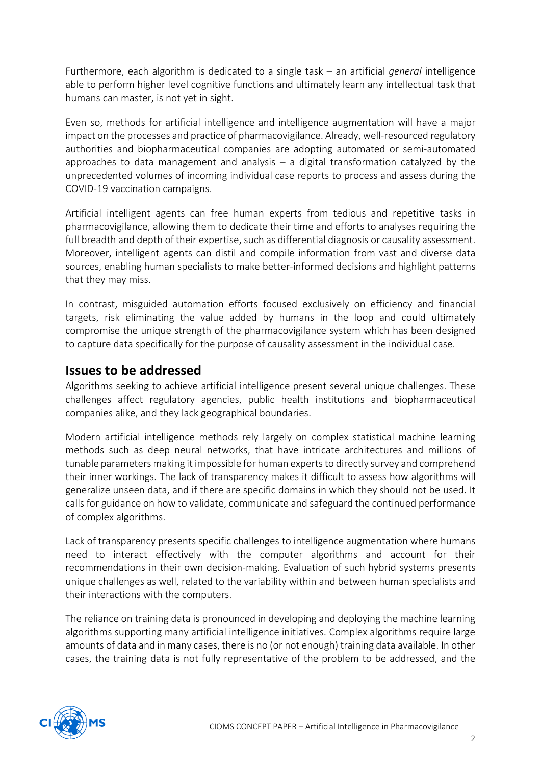Furthermore, each algorithm is dedicated to a single task – an artificial *general* intelligence able to perform higher level cognitive functions and ultimately learn any intellectual task that humans can master, is not yet in sight.

Even so, methods for artificial intelligence and intelligence augmentation will have a major impact on the processes and practice of pharmacovigilance. Already, well-resourced regulatory authorities and biopharmaceutical companies are adopting automated or semi-automated approaches to data management and analysis  $-$  a digital transformation catalyzed by the unprecedented volumes of incoming individual case reports to process and assess during the COVID-19 vaccination campaigns.

Artificial intelligent agents can free human experts from tedious and repetitive tasks in pharmacovigilance, allowing them to dedicate their time and efforts to analyses requiring the full breadth and depth of their expertise, such as differential diagnosis or causality assessment. Moreover, intelligent agents can distil and compile information from vast and diverse data sources, enabling human specialists to make better-informed decisions and highlight patterns that they may miss.

In contrast, misguided automation efforts focused exclusively on efficiency and financial targets, risk eliminating the value added by humans in the loop and could ultimately compromise the unique strength of the pharmacovigilance system which has been designed to capture data specifically for the purpose of causality assessment in the individual case.

## **Issues to be addressed**

Algorithms seeking to achieve artificial intelligence present several unique challenges. These challenges affect regulatory agencies, public health institutions and biopharmaceutical companies alike, and they lack geographical boundaries.

Modern artificial intelligence methods rely largely on complex statistical machine learning methods such as deep neural networks, that have intricate architectures and millions of tunable parameters making it impossible for human experts to directly survey and comprehend their inner workings. The lack of transparency makes it difficult to assess how algorithms will generalize unseen data, and if there are specific domains in which they should not be used. It calls for guidance on how to validate, communicate and safeguard the continued performance of complex algorithms.

Lack of transparency presents specific challenges to intelligence augmentation where humans need to interact effectively with the computer algorithms and account for their recommendations in their own decision-making. Evaluation of such hybrid systems presents unique challenges as well, related to the variability within and between human specialists and their interactions with the computers.

The reliance on training data is pronounced in developing and deploying the machine learning algorithms supporting many artificial intelligence initiatives. Complex algorithms require large amounts of data and in many cases, there is no (or not enough) training data available. In other cases, the training data is not fully representative of the problem to be addressed, and the